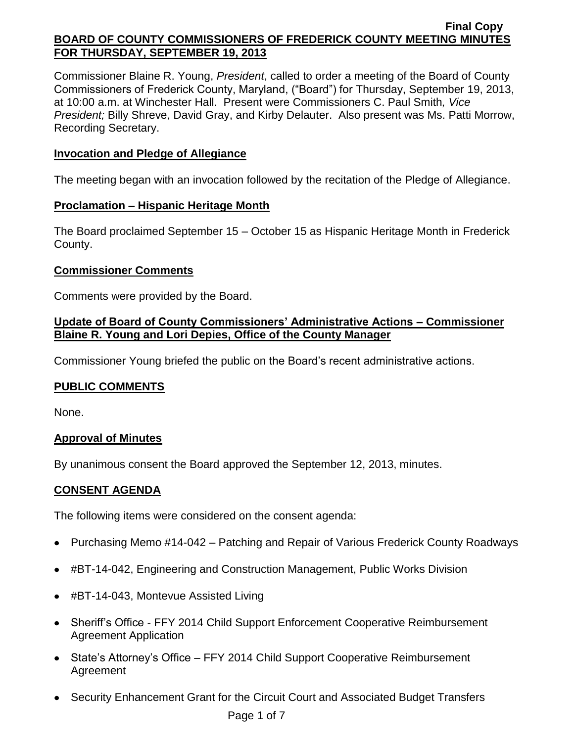Commissioner Blaine R. Young, *President*, called to order a meeting of the Board of County Commissioners of Frederick County, Maryland, ("Board") for Thursday, September 19, 2013, at 10:00 a.m. at Winchester Hall. Present were Commissioners C. Paul Smith*, Vice President;* Billy Shreve, David Gray, and Kirby Delauter. Also present was Ms. Patti Morrow, Recording Secretary.

## **Invocation and Pledge of Allegiance**

The meeting began with an invocation followed by the recitation of the Pledge of Allegiance.

# **Proclamation – Hispanic Heritage Month**

The Board proclaimed September 15 – October 15 as Hispanic Heritage Month in Frederick County.

# **Commissioner Comments**

Comments were provided by the Board.

# **Update of Board of County Commissioners' Administrative Actions – Commissioner Blaine R. Young and Lori Depies, Office of the County Manager**

Commissioner Young briefed the public on the Board's recent administrative actions.

# **PUBLIC COMMENTS**

None.

## **Approval of Minutes**

By unanimous consent the Board approved the September 12, 2013, minutes.

# **CONSENT AGENDA**

The following items were considered on the consent agenda:

- Purchasing Memo #14-042 Patching and Repair of Various Frederick County Roadways
- #BT-14-042, Engineering and Construction Management, Public Works Division
- #BT-14-043, Montevue Assisted Living
- Sheriff's Office FFY 2014 Child Support Enforcement Cooperative Reimbursement Agreement Application
- State's Attorney's Office FFY 2014 Child Support Cooperative Reimbursement Agreement
- Security Enhancement Grant for the Circuit Court and Associated Budget Transfers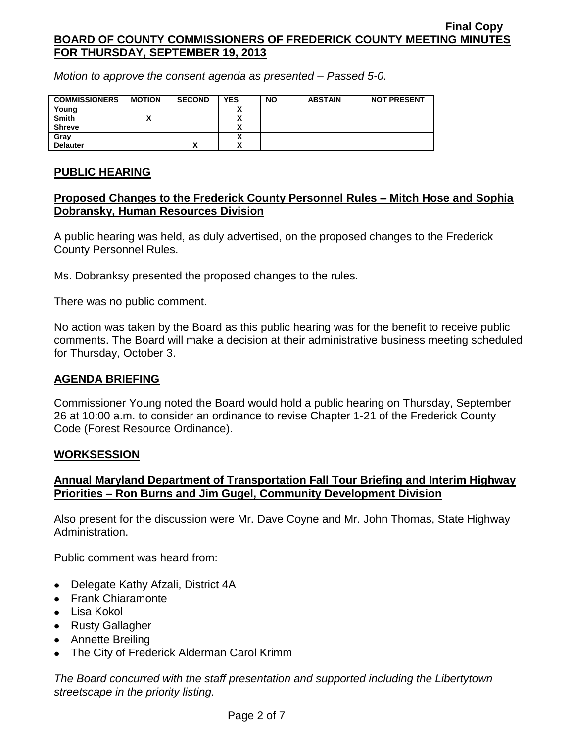*Motion to approve the consent agenda as presented – Passed 5-0.*

| <b>COMMISSIONERS</b> | <b>MOTION</b> | <b>SECOND</b> | <b>YES</b> | <b>NO</b> | <b>ABSTAIN</b> | <b>NOT PRESENT</b> |
|----------------------|---------------|---------------|------------|-----------|----------------|--------------------|
| Young                |               |               |            |           |                |                    |
| <b>Smith</b>         |               |               |            |           |                |                    |
| <b>Shreve</b>        |               |               |            |           |                |                    |
| Gray                 |               |               |            |           |                |                    |
| <b>Delauter</b>      |               | "             |            |           |                |                    |

## **PUBLIC HEARING**

# **Proposed Changes to the Frederick County Personnel Rules – Mitch Hose and Sophia Dobransky, Human Resources Division**

A public hearing was held, as duly advertised, on the proposed changes to the Frederick County Personnel Rules.

Ms. Dobranksy presented the proposed changes to the rules.

There was no public comment.

No action was taken by the Board as this public hearing was for the benefit to receive public comments. The Board will make a decision at their administrative business meeting scheduled for Thursday, October 3.

## **AGENDA BRIEFING**

Commissioner Young noted the Board would hold a public hearing on Thursday, September 26 at 10:00 a.m. to consider an ordinance to revise Chapter 1-21 of the Frederick County Code (Forest Resource Ordinance).

## **WORKSESSION**

# **Annual Maryland Department of Transportation Fall Tour Briefing and Interim Highway Priorities – Ron Burns and Jim Gugel, Community Development Division**

Also present for the discussion were Mr. Dave Coyne and Mr. John Thomas, State Highway Administration.

Public comment was heard from:

- Delegate Kathy Afzali, District 4A
- Frank Chiaramonte
- $\bullet$  Lisa Kokol
- Rusty Gallagher
- Annette Breiling
- The City of Frederick Alderman Carol Krimm

*The Board concurred with the staff presentation and supported including the Libertytown streetscape in the priority listing.*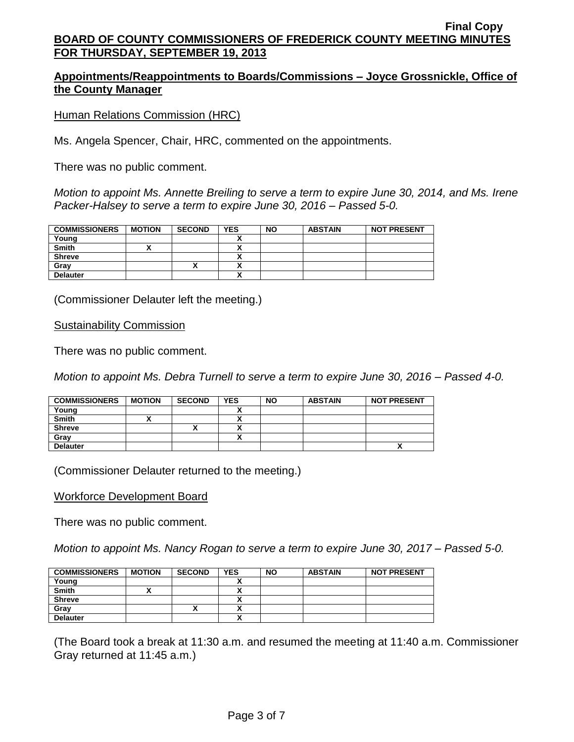# **Appointments/Reappointments to Boards/Commissions – Joyce Grossnickle, Office of the County Manager**

Human Relations Commission (HRC)

Ms. Angela Spencer, Chair, HRC, commented on the appointments.

There was no public comment.

*Motion to appoint Ms. Annette Breiling to serve a term to expire June 30, 2014, and Ms. Irene Packer-Halsey to serve a term to expire June 30, 2016 – Passed 5-0.*

| <b>COMMISSIONERS</b> | <b>MOTION</b> | <b>SECOND</b> | <b>YES</b> | <b>NO</b> | <b>ABSTAIN</b> | <b>NOT PRESENT</b> |
|----------------------|---------------|---------------|------------|-----------|----------------|--------------------|
| Young                |               |               |            |           |                |                    |
| <b>Smith</b>         |               |               |            |           |                |                    |
| <b>Shreve</b>        |               |               | ~          |           |                |                    |
| Grav                 |               |               |            |           |                |                    |
| <b>Delauter</b>      |               |               | ~          |           |                |                    |

(Commissioner Delauter left the meeting.)

#### Sustainability Commission

There was no public comment.

*Motion to appoint Ms. Debra Turnell to serve a term to expire June 30, 2016 – Passed 4-0.*

| <b>COMMISSIONERS</b> | <b>MOTION</b> | <b>SECOND</b> | <b>YES</b> | <b>NO</b> | <b>ABSTAIN</b> | <b>NOT PRESENT</b> |
|----------------------|---------------|---------------|------------|-----------|----------------|--------------------|
| Young                |               |               |            |           |                |                    |
| <b>Smith</b>         |               |               |            |           |                |                    |
| <b>Shreve</b>        |               |               |            |           |                |                    |
| Grav                 |               |               |            |           |                |                    |
| <b>Delauter</b>      |               |               |            |           |                | Λ                  |

(Commissioner Delauter returned to the meeting.)

#### Workforce Development Board

There was no public comment.

*Motion to appoint Ms. Nancy Rogan to serve a term to expire June 30, 2017 – Passed 5-0.*

| <b>COMMISSIONERS</b> | <b>MOTION</b> | <b>SECOND</b> | <b>YES</b> | <b>NO</b> | <b>ABSTAIN</b> | <b>NOT PRESENT</b> |
|----------------------|---------------|---------------|------------|-----------|----------------|--------------------|
| Young                |               |               |            |           |                |                    |
| <b>Smith</b>         |               |               |            |           |                |                    |
| <b>Shreve</b>        |               |               |            |           |                |                    |
| Gray                 |               | "             |            |           |                |                    |
| <b>Delauter</b>      |               |               | . .        |           |                |                    |

(The Board took a break at 11:30 a.m. and resumed the meeting at 11:40 a.m. Commissioner Gray returned at 11:45 a.m.)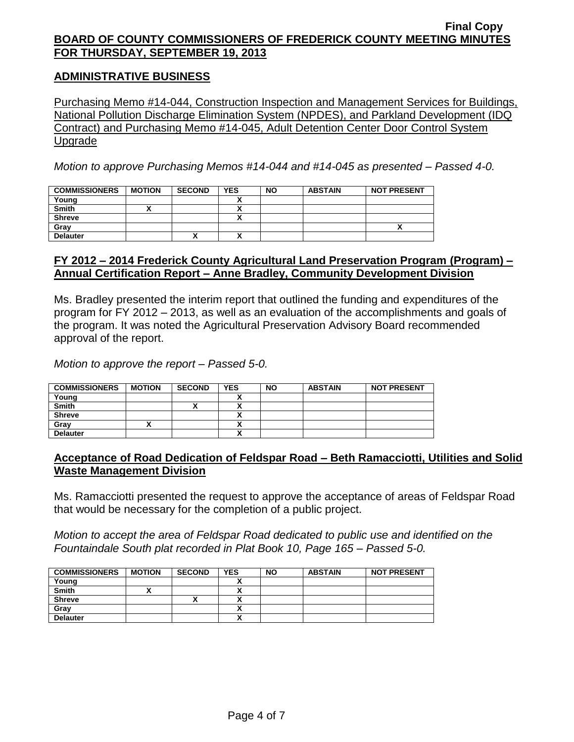## **ADMINISTRATIVE BUSINESS**

Purchasing Memo #14-044, Construction Inspection and Management Services for Buildings, National Pollution Discharge Elimination System (NPDES), and Parkland Development (IDQ Contract) and Purchasing Memo #14-045, Adult Detention Center Door Control System Upgrade

*Motion to approve Purchasing Memos #14-044 and #14-045 as presented – Passed 4-0.*

| <b>COMMISSIONERS</b> | <b>MOTION</b> | <b>SECOND</b> | <b>YES</b> | <b>NO</b> | <b>ABSTAIN</b> | <b>NOT PRESENT</b> |
|----------------------|---------------|---------------|------------|-----------|----------------|--------------------|
| Young                |               |               |            |           |                |                    |
| <b>Smith</b>         |               |               | ~          |           |                |                    |
| <b>Shreve</b>        |               |               | ^          |           |                |                    |
| Gray                 |               |               |            |           |                |                    |
| <b>Delauter</b>      |               | "             | ^          |           |                |                    |

### **FY 2012 – 2014 Frederick County Agricultural Land Preservation Program (Program) – Annual Certification Report – Anne Bradley, Community Development Division**

Ms. Bradley presented the interim report that outlined the funding and expenditures of the program for FY 2012 – 2013, as well as an evaluation of the accomplishments and goals of the program. It was noted the Agricultural Preservation Advisory Board recommended approval of the report.

*Motion to approve the report – Passed 5-0.*

| <b>COMMISSIONERS</b> | <b>MOTION</b> | <b>SECOND</b> | <b>YES</b> | <b>NO</b> | <b>ABSTAIN</b> | <b>NOT PRESENT</b> |
|----------------------|---------------|---------------|------------|-----------|----------------|--------------------|
| Young                |               |               |            |           |                |                    |
| <b>Smith</b>         |               |               | ,,         |           |                |                    |
| <b>Shreve</b>        |               |               | Λ          |           |                |                    |
| Grav                 |               |               | Λ          |           |                |                    |
| <b>Delauter</b>      |               |               | v<br>↗     |           |                |                    |

## **Acceptance of Road Dedication of Feldspar Road – Beth Ramacciotti, Utilities and Solid Waste Management Division**

Ms. Ramacciotti presented the request to approve the acceptance of areas of Feldspar Road that would be necessary for the completion of a public project.

*Motion to accept the area of Feldspar Road dedicated to public use and identified on the Fountaindale South plat recorded in Plat Book 10, Page 165 – Passed 5-0.*

| <b>COMMISSIONERS</b> | <b>MOTION</b> | <b>SECOND</b> | <b>YES</b> | <b>NO</b> | <b>ABSTAIN</b> | <b>NOT PRESENT</b> |
|----------------------|---------------|---------------|------------|-----------|----------------|--------------------|
| Young                |               |               |            |           |                |                    |
| <b>Smith</b>         |               |               |            |           |                |                    |
| <b>Shreve</b>        |               | Λ             |            |           |                |                    |
| Gray                 |               |               |            |           |                |                    |
| <b>Delauter</b>      |               |               |            |           |                |                    |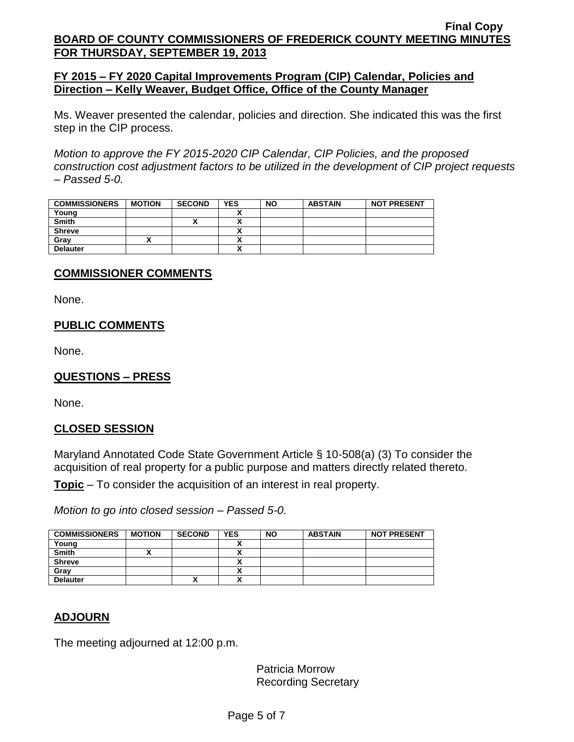## **FY 2015 – FY 2020 Capital Improvements Program (CIP) Calendar, Policies and Direction – Kelly Weaver, Budget Office, Office of the County Manager**

Ms. Weaver presented the calendar, policies and direction. She indicated this was the first step in the CIP process.

*Motion to approve the FY 2015-2020 CIP Calendar, CIP Policies, and the proposed construction cost adjustment factors to be utilized in the development of CIP project requests – Passed 5-0.*

| <b>COMMISSIONERS</b> | <b>MOTION</b> | <b>SECOND</b> | YES   | <b>NO</b> | <b>ABSTAIN</b> | <b>NOT PRESENT</b> |
|----------------------|---------------|---------------|-------|-----------|----------------|--------------------|
| Young                |               |               |       |           |                |                    |
| <b>Smith</b>         |               | Λ             | `<br> |           |                |                    |
| <b>Shreve</b>        |               |               |       |           |                |                    |
| Grav                 |               |               |       |           |                |                    |
| <b>Delauter</b>      |               |               |       |           |                |                    |

# **COMMISSIONER COMMENTS**

None.

# **PUBLIC COMMENTS**

None.

## **QUESTIONS – PRESS**

None.

## **CLOSED SESSION**

Maryland Annotated Code State Government Article § 10-508(a) (3) To consider the acquisition of real property for a public purpose and matters directly related thereto.

**Topic** – To consider the acquisition of an interest in real property.

*Motion to go into closed session – Passed 5-0.*

| <b>COMMISSIONERS</b> | <b>MOTION</b> | <b>SECOND</b> | <b>YES</b> | <b>NO</b> | <b>ABSTAIN</b> | <b>NOT PRESENT</b> |
|----------------------|---------------|---------------|------------|-----------|----------------|--------------------|
| Young                |               |               |            |           |                |                    |
| <b>Smith</b>         |               |               |            |           |                |                    |
| <b>Shreve</b>        |               |               |            |           |                |                    |
| Gray                 |               |               |            |           |                |                    |
| <b>Delauter</b>      |               | Λ             |            |           |                |                    |

## **ADJOURN**

The meeting adjourned at 12:00 p.m.

Patricia Morrow Recording Secretary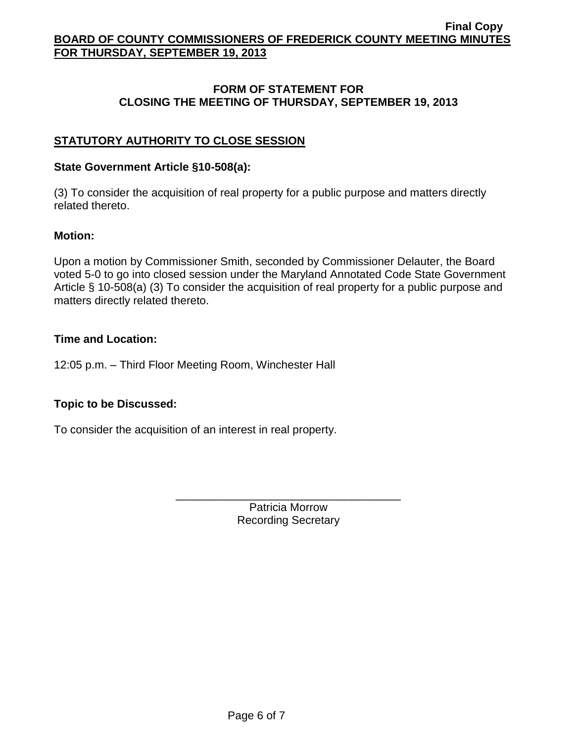## **FORM OF STATEMENT FOR CLOSING THE MEETING OF THURSDAY, SEPTEMBER 19, 2013**

# **STATUTORY AUTHORITY TO CLOSE SESSION**

### **State Government Article §10-508(a):**

(3) To consider the acquisition of real property for a public purpose and matters directly related thereto.

### **Motion:**

Upon a motion by Commissioner Smith, seconded by Commissioner Delauter, the Board voted 5-0 to go into closed session under the Maryland Annotated Code State Government Article § 10-508(a) (3) To consider the acquisition of real property for a public purpose and matters directly related thereto.

### **Time and Location:**

12:05 p.m. – Third Floor Meeting Room, Winchester Hall

## **Topic to be Discussed:**

To consider the acquisition of an interest in real property.

Patricia Morrow Recording Secretary

\_\_\_\_\_\_\_\_\_\_\_\_\_\_\_\_\_\_\_\_\_\_\_\_\_\_\_\_\_\_\_\_\_\_\_\_